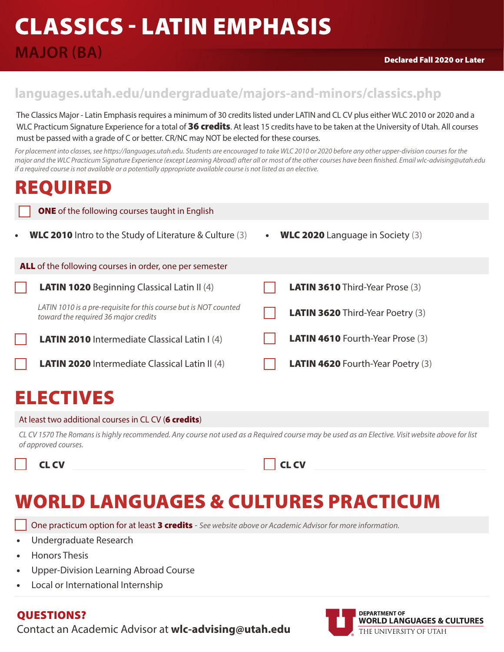## CLASSICS - LATIN EMPHASIS

### **MAJOR (BA)**

### **languages.utah.edu/undergraduate/majors-and-minors/classics.php**

The Classics Major - Latin Emphasis requires a minimum of 30 credits listed under LATIN and CL CV plus either WLC 2010 or 2020 and a WLC Practicum Signature Experience for a total of 36 credits. At least 15 credits have to be taken at the University of Utah. All courses must be passed with a grade of C or better. CR/NC may NOT be elected for these courses.

For placement into classes, see https://languages.utah.edu. Students are encouraged to take WLC 2010 or 2020 before any other upper-division courses for the *major and the WLC Practicum Signature Experience (except Learning Abroad) after all or most of the other courses have been finished. Email wlc-advising@utah.edu if a required course is not available or a potentially appropriate available course is not listed as an elective.*

### REQUIRED

|           | <b>ONE</b> of the following courses taught in English                                                    |           |                                           |  |  |
|-----------|----------------------------------------------------------------------------------------------------------|-----------|-------------------------------------------|--|--|
| $\bullet$ | <b>WLC 2010</b> Intro to the Study of Literature & Culture $(3)$                                         | $\bullet$ | <b>WLC 2020</b> Language in Society $(3)$ |  |  |
|           | ALL of the following courses in order, one per semester                                                  |           |                                           |  |  |
|           | <b>LATIN 1020</b> Beginning Classical Latin II (4)                                                       |           | <b>LATIN 3610</b> Third-Year Prose (3)    |  |  |
|           | LATIN 1010 is a pre-requisite for this course but is NOT counted<br>toward the required 36 major credits |           | <b>LATIN 3620</b> Third-Year Poetry (3)   |  |  |
|           | <b>LATIN 2010</b> Intermediate Classical Latin I (4)                                                     |           | <b>LATIN 4610</b> Fourth-Year Prose (3)   |  |  |
|           | <b>LATIN 2020</b> Intermediate Classical Latin II (4)                                                    |           | <b>LATIN 4620</b> Fourth-Year Poetry (3)  |  |  |
|           |                                                                                                          |           |                                           |  |  |

### ELECTIVES

#### At least two additional courses in CL CV (6 credits)

*CL CV 1570 The Romans is highly recommended. Any course not used as a Required course may be used as an Elective. Visit website above for list of approved courses.* 

CL CV

| .,<br>. .<br>. .<br>. . |
|-------------------------|
|-------------------------|

## WORLD LANGUAGES & CULTURES PRACTICUM

One practicum option for at least 3 credits - See website above or Academic Advisor for more information.

- Undergraduate Research
- Honors Thesis
- Upper-Division Learning Abroad Course
- Local or International Internship

#### QUESTIONS?

Contact an Academic Advisor at **wlc-advising@utah.edu**